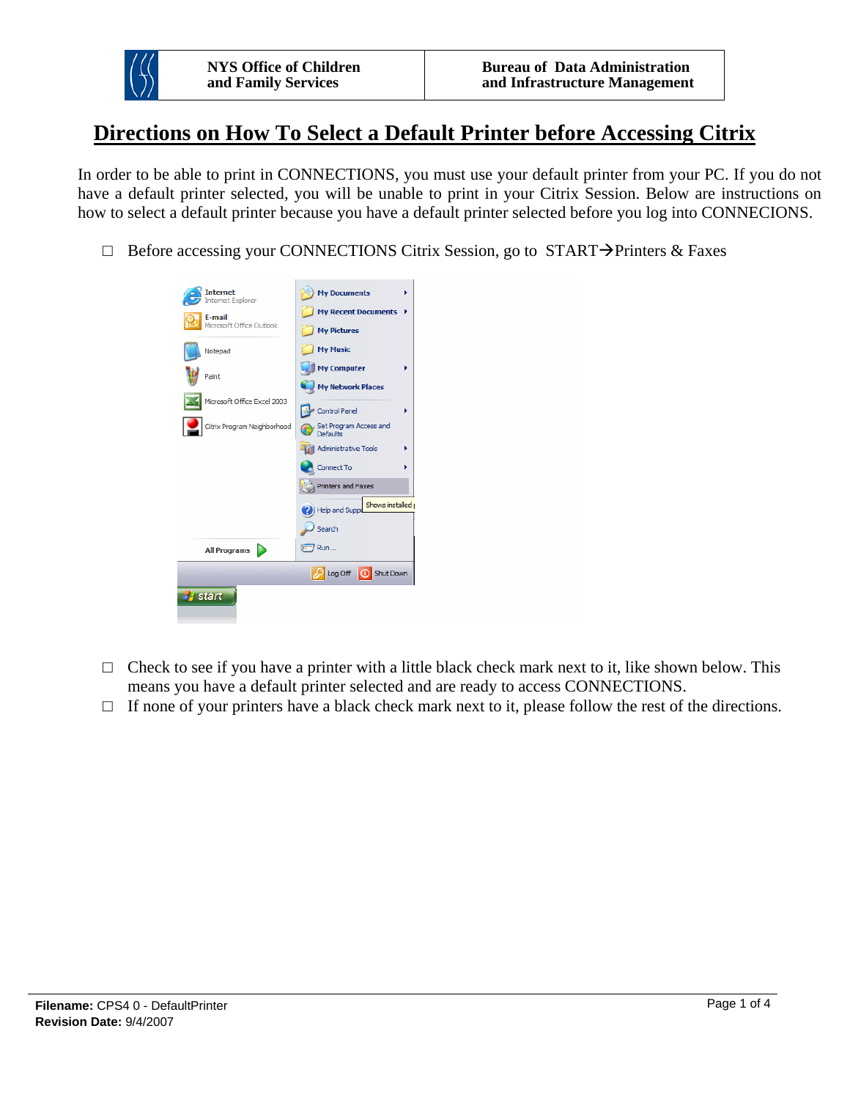

## **Directions on How To Select a Default Printer before Accessing Citrix**

In order to be able to print in CONNECTIONS, you must use your default printer from your PC. If you do not have a default printer selected, you will be unable to print in your Citrix Session. Below are instructions on how to select a default printer because you have a default printer selected before you log into CONNECIONS.

 $\Box$  Before accessing your CONNECTIONS Citrix Session, go to START $\rightarrow$ Printers & Faxes

| <b>Internet</b><br><b>Internet Explorer</b><br>E-mail | <b>My Documents</b><br>١<br><b>My Recent Documents</b><br>٠            |
|-------------------------------------------------------|------------------------------------------------------------------------|
| Microsoft Office Outlook<br>Notepad                   | <b>My Pictures</b><br><b>My Music</b>                                  |
| Paint                                                 | <b>My Computer</b><br>Þ<br><b>My Network Places</b>                    |
| Microsoft Office Excel 2003                           | <b>Control Panel</b><br>Þ                                              |
| Citrix Program Neighborhood                           | Set Program Access and<br>Defaults<br><b>Administrative Tools</b><br>Þ |
|                                                       | Connect To                                                             |
|                                                       | <b>Printers and Faxes</b><br>Shows installed                           |
|                                                       | Help and Suppo<br>Search                                               |
| <b>All Programs</b>                                   | Run                                                                    |
|                                                       | Deg Off O Shut Down                                                    |
| <b>E</b> start                                        |                                                                        |

- $\Box$  Check to see if you have a printer with a little black check mark next to it, like shown below. This means you have a default printer selected and are ready to access CONNECTIONS.
- $\Box$  If none of your printers have a black check mark next to it, please follow the rest of the directions.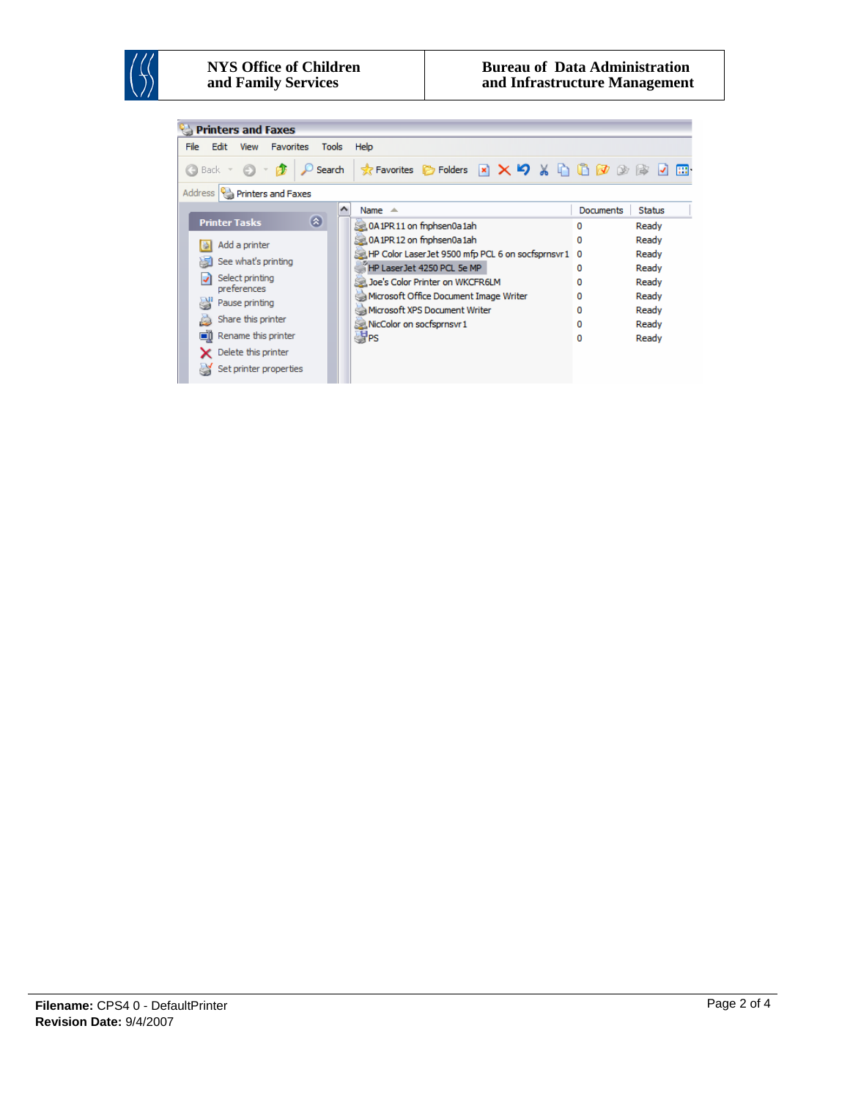

## **NYS Office of Children and Family Services**

| <b>Printers and Faxes</b>                                        |                                                    |                            |  |
|------------------------------------------------------------------|----------------------------------------------------|----------------------------|--|
| File<br>Edit<br>View<br><b>Favorites</b><br>Help<br><b>Tools</b> |                                                    |                            |  |
| e.<br>Search<br>(● Back →                                        | <b>★Favorites 它Folders × × × 9 % 自自⑦②③ ② 回</b>     |                            |  |
| Address   Parinters and Faxes                                    |                                                    |                            |  |
|                                                                  | ۸<br>Name $\triangle$                              | Documents<br><b>Status</b> |  |
| $\bullet$<br><b>Printer Tasks</b>                                | 0A1PR11 on fnphsen0a1ah                            | Ready<br>0                 |  |
| Add a printer                                                    | 0A1PR12 on fnphsen0a1ah                            | Ready<br>0                 |  |
| See what's printing                                              | HP Color Laser Jet 9500 mfp PCL 6 on socfsprnsvr 1 | Ready<br>0                 |  |
|                                                                  | HP Laser Jet 4250 PCL 5e MP                        | Ready<br>0                 |  |
| Select printing<br>preferences                                   | Joe's Color Printer on WKCFR6LM                    | Ready<br>n                 |  |
| Pause printing                                                   | Microsoft Office Document Image Writer             | Ready<br>o                 |  |
|                                                                  | Microsoft XPS Document Writer                      | Ready<br>0                 |  |
| Share this printer                                               | NicColor on socfsprnsvr 1                          | Ready<br>0                 |  |
| Rename this printer<br>on                                        | <b>SPS</b>                                         | Ready<br>0                 |  |
| Delete this printer                                              |                                                    |                            |  |
| Set printer properties                                           |                                                    |                            |  |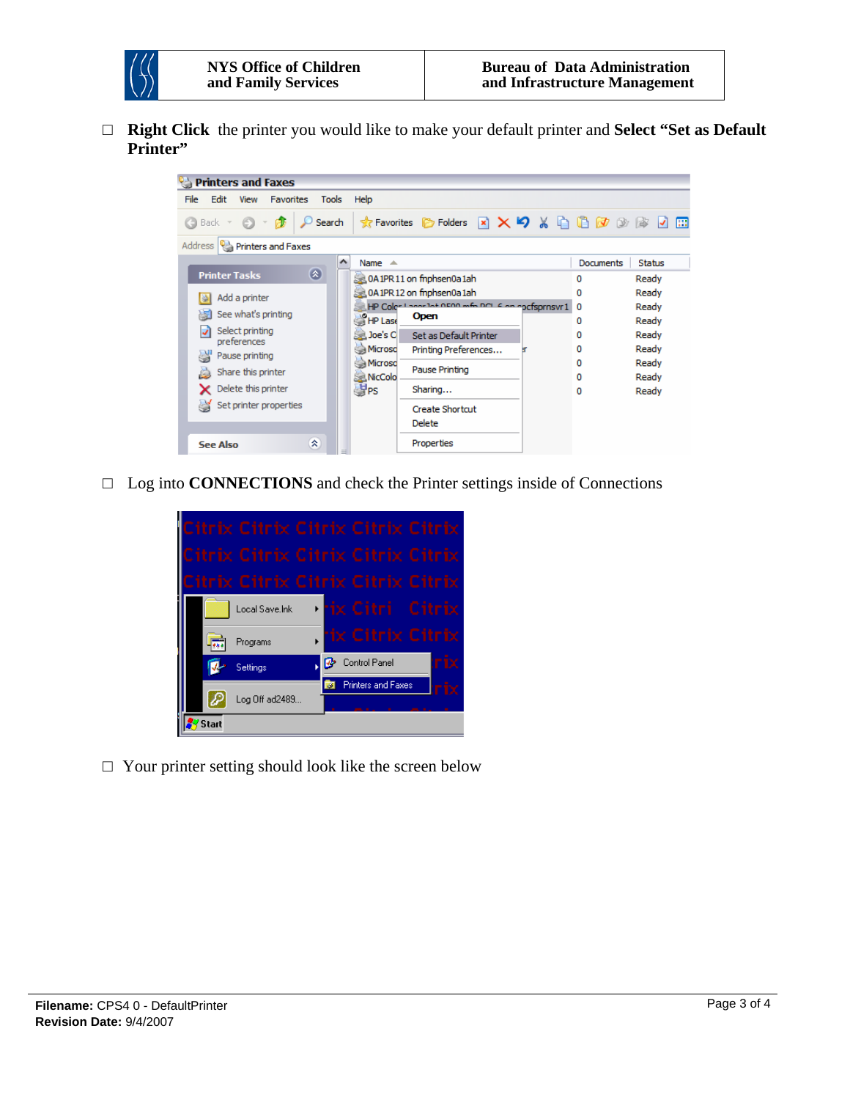

□ **Right Click** the printer you would like to make your default printer and **Select "Set as Default Printer"** 



□ Log into **CONNECTIONS** and check the Printer settings inside of Connections



 $\Box$  Your printer setting should look like the screen below